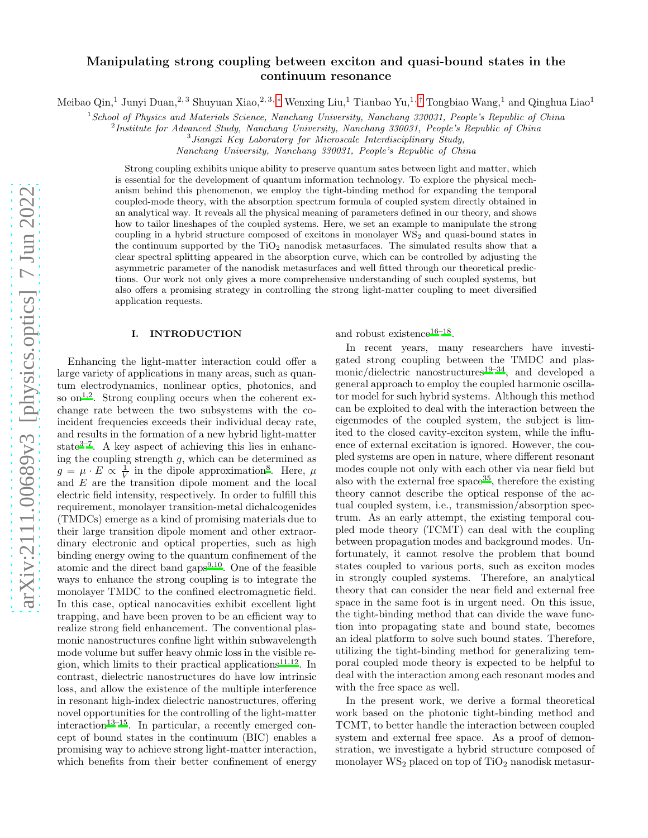# Manipulating strong coupling between exciton and quasi-bound states in the continuum resonance

Meibao Qin,<sup>1</sup> Junyi Duan,<sup>2, 3</sup> Shuyuan Xiao,<sup>2, 3,</sup> \* Wenxing Liu,<sup>1</sup> Tianbao Yu,<sup>1,[†](#page-4-1)</sup> Tongbiao Wang,<sup>1</sup> and Qinghua Liao<sup>1</sup>

 $1$ School of Physics and Materials Science, Nanchang University, Nanchang 330031, People's Republic of China

<sup>2</sup> Institute for Advanced Study, Nanchang University, Nanchang 330031, People's Republic of China

<sup>3</sup> Jiangxi Key Laboratory for Microscale Interdisciplinary Study,

Nanchang University, Nanchang 330031, People's Republic of China

Strong coupling exhibits unique ability to preserve quantum sates between light and matter, which is essential for the development of quantum information technology. To explore the physical mechanism behind this phenomenon, we employ the tight-binding method for expanding the temporal coupled-mode theory, with the absorption spectrum formula of coupled system directly obtained in an analytical way. It reveals all the physical meaning of parameters defined in our theory, and shows how to tailor lineshapes of the coupled systems. Here, we set an example to manipulate the strong coupling in a hybrid structure composed of excitons in monolayer WS<sub>2</sub> and quasi-bound states in the continuum supported by the  $TiO<sub>2</sub>$  nanodisk metasurfaces. The simulated results show that a clear spectral splitting appeared in the absorption curve, which can be controlled by adjusting the asymmetric parameter of the nanodisk metasurfaces and well fitted through our theoretical predictions. Our work not only gives a more comprehensive understanding of such coupled systems, but also offers a promising strategy in controlling the strong light-matter coupling to meet diversified application requests.

## I. INTRODUCTION

Enhancing the light-matter interaction could offer a large variety of applications in many areas, such as quantum electrodynamics, nonlinear optics, photonics, and so on<sup>[1](#page-4-2)[,2](#page-4-3)</sup>. Strong coupling occurs when the coherent exchange rate between the two subsystems with the coincident frequencies exceeds their individual decay rate, and results in the formation of a new hybrid light-matter state<sup>[3](#page-4-4)[–7](#page-4-5)</sup>. A key aspect of achieving this lies in enhancing the coupling strength  $g$ , which can be determined as  $g = \mu \cdot E \propto \frac{1}{V}$  in the dipole approximation<sup>[8](#page-4-6)</sup>. Here,  $\mu$ and E are the transition dipole moment and the local electric field intensity, respectively. In order to fulfill this requirement, monolayer transition-metal dichalcogenides (TMDCs) emerge as a kind of promising materials due to their large transition dipole moment and other extraordinary electronic and optical properties, such as high binding energy owing to the quantum confinement of the atomic and the direct band gaps $9,10$  $9,10$ . One of the feasible ways to enhance the strong coupling is to integrate the monolayer TMDC to the confined electromagnetic field. In this case, optical nanocavities exhibit excellent light trapping, and have been proven to be an efficient way to realize strong field enhancement. The conventional plasmonic nanostructures confine light within subwavelength mode volume but suffer heavy ohmic loss in the visible re-gion, which limits to their practical applications<sup>[11](#page-4-9)[,12](#page-4-10)</sup>. In contrast, dielectric nanostructures do have low intrinsic loss, and allow the existence of the multiple interference in resonant high-index dielectric nanostructures, offering novel opportunities for the controlling of the light-matter  $interaction<sup>13–15</sup>$  $interaction<sup>13–15</sup>$  $interaction<sup>13–15</sup>$  $interaction<sup>13–15</sup>$ . In particular, a recently emerged concept of bound states in the continuum (BIC) enables a promising way to achieve strong light-matter interaction, which benefits from their better confinement of energy and robust existence<sup>[16](#page-5-2)[–18](#page-5-3)</sup>.

In recent years, many researchers have investigated strong coupling between the TMDC and plas-monic/dielectric nanostructures<sup>[19](#page-5-4)[–34](#page-5-5)</sup>, and developed a general approach to employ the coupled harmonic oscillator model for such hybrid systems. Although this method can be exploited to deal with the interaction between the eigenmodes of the coupled system, the subject is limited to the closed cavity-exciton system, while the influence of external excitation is ignored. However, the coupled systems are open in nature, where different resonant modes couple not only with each other via near field but also with the external free space<sup>[35](#page-5-6)</sup>, therefore the existing theory cannot describe the optical response of the actual coupled system, i.e., transmission/absorption spectrum. As an early attempt, the existing temporal coupled mode theory (TCMT) can deal with the coupling between propagation modes and background modes. Unfortunately, it cannot resolve the problem that bound states coupled to various ports, such as exciton modes in strongly coupled systems. Therefore, an analytical theory that can consider the near field and external free space in the same foot is in urgent need. On this issue, the tight-binding method that can divide the wave function into propagating state and bound state, becomes an ideal platform to solve such bound states. Therefore, utilizing the tight-binding method for generalizing temporal coupled mode theory is expected to be helpful to deal with the interaction among each resonant modes and with the free space as well.

In the present work, we derive a formal theoretical work based on the photonic tight-binding method and TCMT, to better handle the interaction between coupled system and external free space. As a proof of demonstration, we investigate a hybrid structure composed of monolayer  $WS_2$  placed on top of  $TiO_2$  nanodisk metasur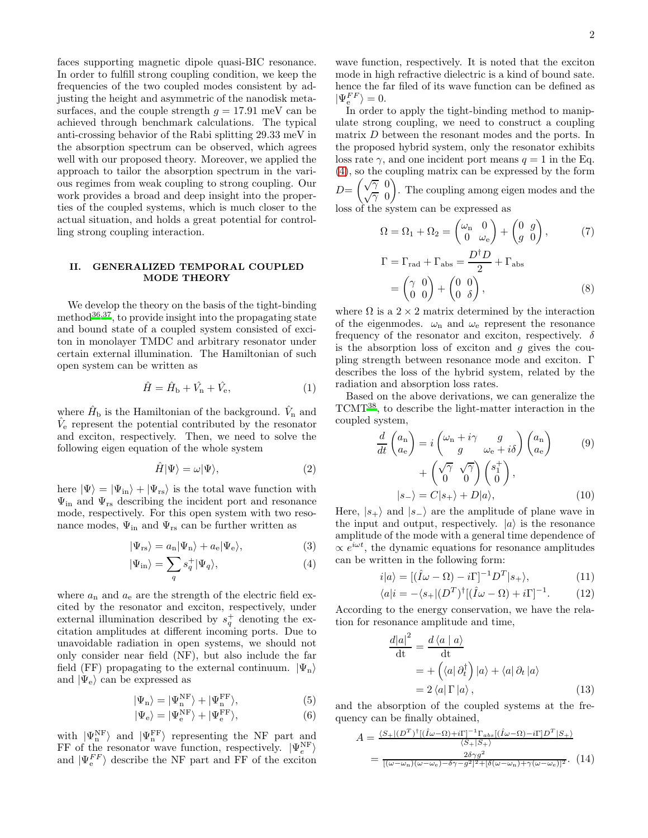faces supporting magnetic dipole quasi-BIC resonance. In order to fulfill strong coupling condition, we keep the frequencies of the two coupled modes consistent by adjusting the height and asymmetric of the nanodisk metasurfaces, and the couple strength  $g = 17.91$  meV can be achieved through benchmark calculations. The typical anti-crossing behavior of the Rabi splitting 29.33 meV in the absorption spectrum can be observed, which agrees well with our proposed theory. Moreover, we applied the approach to tailor the absorption spectrum in the various regimes from weak coupling to strong coupling. Our work provides a broad and deep insight into the properties of the coupled systems, which is much closer to the actual situation, and holds a great potential for controlling strong coupling interaction.

### II. GENERALIZED TEMPORAL COUPLED MODE THEORY

We develop the theory on the basis of the tight-binding method $^{36,37}$  $^{36,37}$  $^{36,37}$  $^{36,37}$ , to provide insight into the propagating state and bound state of a coupled system consisted of exciton in monolayer TMDC and arbitrary resonator under certain external illumination. The Hamiltonian of such open system can be written as

$$
\hat{H} = \hat{H}_{\rm b} + \hat{V}_{\rm n} + \hat{V}_{\rm e},\tag{1}
$$

where  $\hat{H}_{\text{b}}$  is the Hamiltonian of the background.  $\hat{V}_{\text{n}}$  and  $\hat{V}_e$  represent the potential contributed by the resonator and exciton, respectively. Then, we need to solve the following eigen equation of the whole system

$$
\hat{H}|\Psi\rangle = \omega|\Psi\rangle,\tag{2}
$$

here  $|\Psi\rangle = |\Psi_{\text{in}}\rangle + |\Psi_{\text{rs}}\rangle$  is the total wave function with  $\Psi_{\text{in}}$  and  $\Psi_{\text{rs}}$  describing the incident port and resonance mode, respectively. For this open system with two resonance modes,  $\Psi_{\text{in}}$  and  $\Psi_{\text{rs}}$  can be further written as

<span id="page-1-0"></span>
$$
|\Psi_{\rm rs}\rangle = a_{\rm n}|\Psi_{\rm n}\rangle + a_{\rm e}|\Psi_{\rm e}\rangle, \tag{3}
$$

$$
|\Psi_{\rm in}\rangle = \sum_{q} s_q^+ |\Psi_q\rangle,\tag{4}
$$

where  $a_n$  and  $a_e$  are the strength of the electric field excited by the resonator and exciton, respectively, under external illumination described by  $s_q^+$  denoting the excitation amplitudes at different incoming ports. Due to unavoidable radiation in open systems, we should not only consider near field (NF), but also include the far field (FF) propagating to the external continuum.  $|\Psi_n\rangle$ and  $|\Psi_{\rm e}\rangle$  can be expressed as

$$
|\Psi_n\rangle = |\Psi_n^{\text{NF}}\rangle + |\Psi_n^{\text{FF}}\rangle,\tag{5}
$$

$$
|\Psi_{\rm e}\rangle = |\Psi_{\rm e}^{\rm NF}\rangle + |\Psi_{\rm e}^{\rm FF}\rangle,\tag{6}
$$

with  $|\Psi_n^{\text{NF}}\rangle$  and  $|\Psi_n^{\text{FF}}\rangle$  representing the NF part and FF of the resonator wave function, respectively.  $|\Psi_e^{\text{NF}}\rangle$ and  $|\Psi_{\rm e}^{FF}\rangle$  describe the NF part and FF of the exciton wave function, respectively. It is noted that the exciton mode in high refractive dielectric is a kind of bound sate. hence the far filed of its wave function can be defined as  $|\Psi_{\rm e}^{FF}\rangle = 0.$ 

In order to apply the tight-binding method to manipulate strong coupling, we need to construct a coupling matrix D between the resonant modes and the ports. In the proposed hybrid system, only the resonator exhibits loss rate  $\gamma$ , and one incident port means  $q = 1$  in the Eq. [\(4\)](#page-1-0), so the coupling matrix can be expressed by the form  $D=\begin{pmatrix} \sqrt{\gamma} & 0 \\ \frac{\sqrt{\gamma}}{\gamma} & 0 \end{pmatrix}$  $\sqrt{\gamma}$  0 . The coupling among eigen modes and the

loss of the system can be expressed as

$$
\Omega = \Omega_1 + \Omega_2 = \begin{pmatrix} \omega_{\rm n} & 0\\ 0 & \omega_{\rm e} \end{pmatrix} + \begin{pmatrix} 0 & g\\ g & 0 \end{pmatrix},\n\qquad (7)
$$
\n
$$
\Gamma = \Gamma_{\rm rad} + \Gamma_{\rm abs} = \frac{D^{\dagger}D}{2} + \Gamma_{\rm abs}
$$

$$
= \begin{pmatrix} \gamma & 0 \\ 0 & 0 \end{pmatrix} + \begin{pmatrix} 0 & 0 \\ 0 & \delta \end{pmatrix}, \tag{8}
$$

where  $\Omega$  is a  $2 \times 2$  matrix determined by the interaction of the eigenmodes.  $\omega_n$  and  $\omega_e$  represent the resonance frequency of the resonator and exciton, respectively.  $\delta$ is the absorption loss of exciton and  $g$  gives the coupling strength between resonance mode and exciton. Γ describes the loss of the hybrid system, related by the radiation and absorption loss rates.

Based on the above derivations, we can generalize the TCMT[38](#page-5-9), to describe the light-matter interaction in the coupled system,

$$
\frac{d}{dt}\begin{pmatrix} a_{\rm n} \\ a_{\rm e} \end{pmatrix} = i \begin{pmatrix} \omega_{\rm n} + i\gamma & g \\ g & \omega_{\rm e} + i\delta \end{pmatrix} \begin{pmatrix} a_{\rm n} \\ a_{\rm e} \end{pmatrix}
$$
\n
$$
+ \begin{pmatrix} \sqrt{\gamma} & \sqrt{\gamma} \\ 0 & 0 \end{pmatrix} \begin{pmatrix} s_1^+ \\ 0 \end{pmatrix},
$$
\n
$$
|s_{-}\rangle = C|s_{+}\rangle + D|a\rangle,
$$
\n(10)

Here,  $|s_{+}\rangle$  and  $|s_{-}\rangle$  are the amplitude of plane wave in the input and output, respectively.  $|a\rangle$  is the resonance amplitude of the mode with a general time dependence of  $\propto e^{i\omega t}$ , the dynamic equations for resonance amplitudes can be written in the following form:

$$
i|a\rangle = [(\hat{I}\omega - \Omega) - i\Gamma]^{-1}D^{T}|s_{+}\rangle, \qquad (11)
$$

$$
\langle a|i = -\langle s_+ | (D^T)^{\dagger} [(\hat{I}\omega - \Omega) + i\Gamma]^{-1}.
$$
 (12)

According to the energy conservation, we have the relation for resonance amplitude and time,

$$
\frac{d|a|^2}{dt} = \frac{d\langle a | a \rangle}{dt}
$$
  
=  $+\left(\langle a | \partial_t^{\dagger}\right) |a\rangle + \langle a | \partial_t |a\rangle$   
=  $2 \langle a | \Gamma |a\rangle,$  (13)

and the absorption of the coupled systems at the frequency can be finally obtained,

<span id="page-1-1"></span>
$$
A = \frac{\langle S_+ | (D^T)^\dagger | (\hat{I}\omega - \Omega) + i\Gamma ]^{-1} \Gamma_{abs} [(\hat{I}\omega - \Omega) - i\Gamma ] D^T | S_+ \rangle}{\langle S_+ | S_+ \rangle}
$$
  
= 
$$
\frac{2\delta \gamma g^2}{[(\omega - \omega_n)(\omega - \omega_e) - \delta \gamma - g^2]^2 + [\delta(\omega - \omega_n) + \gamma(\omega - \omega_e)]^2}.
$$
 (14)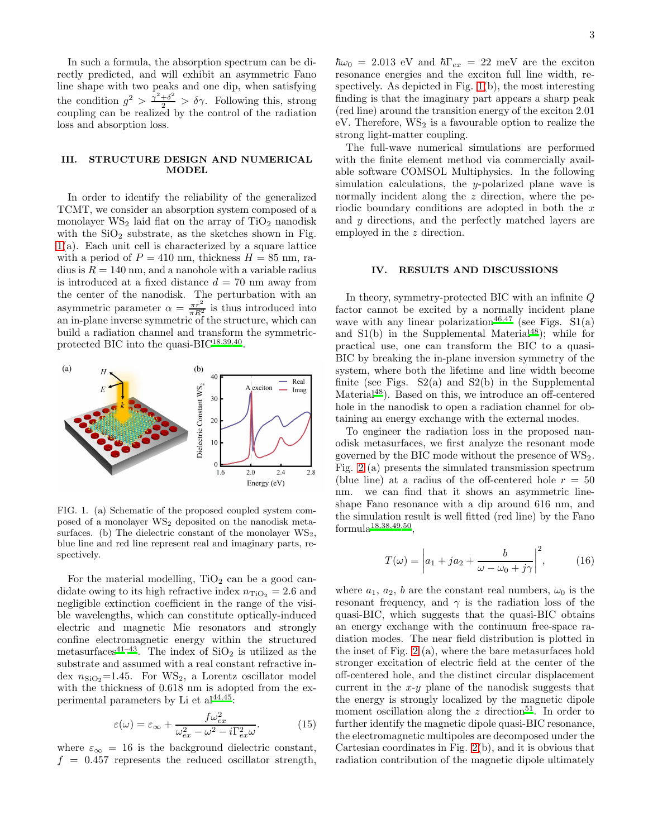In such a formula, the absorption spectrum can be directly predicted, and will exhibit an asymmetric Fano line shape with two peaks and one dip, when satisfying the condition  $g^2 > \frac{\gamma^2+\delta^2}{2} > \delta \gamma$ . Following this, strong coupling can be realized by the control of the radiation loss and absorption loss.

### III. STRUCTURE DESIGN AND NUMERICAL MODEL

In order to identify the reliability of the generalized TCMT, we consider an absorption system composed of a monolayer  $WS_2$  laid flat on the array of  $TiO_2$  nanodisk with the  $SiO<sub>2</sub>$  substrate, as the sketches shown in Fig. [1\(](#page-2-0)a). Each unit cell is characterized by a square lattice with a period of  $P = 410$  nm, thickness  $H = 85$  nm, radius is  $R = 140$  nm, and a nanohole with a variable radius is introduced at a fixed distance  $d = 70$  nm away from the center of the nanodisk. The perturbation with an asymmetric parameter  $\alpha = \frac{\pi r^2}{\pi R^2}$  is thus introduced into an in-plane inverse symmetric of the structure, which can build a radiation channel and transform the symmetric-protected BIC into the quasi-BIC<sup>[18](#page-5-3)[,39](#page-5-10)[,40](#page-5-11)</sup>.



<span id="page-2-0"></span>FIG. 1. (a) Schematic of the proposed coupled system composed of a monolayer WS<sup>2</sup> deposited on the nanodisk metasurfaces. (b) The dielectric constant of the monolayer  $WS_2$ , blue line and red line represent real and imaginary parts, respectively.

For the material modelling,  $TiO<sub>2</sub>$  can be a good candidate owing to its high refractive index  $n_{\text{TiO}_2} = 2.6$  and negligible extinction coefficient in the range of the visible wavelengths, which can constitute optically-induced electric and magnetic Mie resonators and strongly confine electromagnetic energy within the structured metasurfaces<sup>[41](#page-5-12)[–43](#page-5-13)</sup>. The index of  $SiO<sub>2</sub>$  is utilized as the substrate and assumed with a real constant refractive index  $n_{SiO_2}=1.45$ . For  $WS_2$ , a Lorentz oscillator model with the thickness of 0.618 nm is adopted from the experimental parameters by Li et  $al^{44,45}$  $al^{44,45}$  $al^{44,45}$  $al^{44,45}$ :

$$
\varepsilon(\omega) = \varepsilon_{\infty} + \frac{f\omega_{ex}^2}{\omega_{ex}^2 - \omega^2 - i\Gamma_{ex}^2 \omega}.
$$
 (15)

where  $\varepsilon_{\infty} = 16$  is the background dielectric constant,  $f = 0.457$  represents the reduced oscillator strength,

 $\hbar\omega_0 = 2.013 \text{ eV}$  and  $\hbar\Gamma_{ex} = 22 \text{ meV}$  are the exciton resonance energies and the exciton full line width, respectively. As depicted in Fig. [1\(](#page-2-0)b), the most interesting finding is that the imaginary part appears a sharp peak (red line) around the transition energy of the exciton 2.01  $eV$ . Therefore,  $WS_2$  is a favourable option to realize the strong light-matter coupling.

The full-wave numerical simulations are performed with the finite element method via commercially available software COMSOL Multiphysics. In the following simulation calculations, the y-polarized plane wave is normally incident along the z direction, where the periodic boundary conditions are adopted in both the  $x$ and y directions, and the perfectly matched layers are employed in the z direction.

#### IV. RESULTS AND DISCUSSIONS

In theory, symmetry-protected BIC with an infinite Q factor cannot be excited by a normally incident plane wave with any linear polarization<sup>[46](#page-5-16)[,47](#page-5-17)</sup> (see Figs.  $S1(a)$ ) and  $S1(b)$  in the Supplemental Material<sup>[48](#page-5-18)</sup>); while for practical use, one can transform the BIC to a quasi-BIC by breaking the in-plane inversion symmetry of the system, where both the lifetime and line width become finite (see Figs.  $S_2(a)$  and  $S_2(b)$  in the Supplemental Material<sup>[48](#page-5-18)</sup>). Based on this, we introduce an off-centered hole in the nanodisk to open a radiation channel for obtaining an energy exchange with the external modes.

To engineer the radiation loss in the proposed nanodisk metasurfaces, we first analyze the resonant mode governed by the BIC mode without the presence of  $WS_2$ . Fig. [2](#page-3-0) (a) presents the simulated transmission spectrum (blue line) at a radius of the off-centered hole  $r = 50$ nm. we can find that it shows an asymmetric lineshape Fano resonance with a dip around 616 nm, and the simulation result is well fitted (red line) by the Fano  $formula<sup>18,38,49,50</sup>$  $formula<sup>18,38,49,50</sup>$  $formula<sup>18,38,49,50</sup>$  $formula<sup>18,38,49,50</sup>$  $formula<sup>18,38,49,50</sup>$  $formula<sup>18,38,49,50</sup>$ ,

$$
T(\omega) = \left| a_1 + ja_2 + \frac{b}{\omega - \omega_0 + j\gamma} \right|^2, \quad (16)
$$

where  $a_1, a_2, b$  are the constant real numbers,  $\omega_0$  is the resonant frequency, and  $\gamma$  is the radiation loss of the quasi-BIC, which suggests that the quasi-BIC obtains an energy exchange with the continuum free-space radiation modes. The near field distribution is plotted in the inset of Fig. [2](#page-3-0) (a), where the bare metasurfaces hold stronger excitation of electric field at the center of the off-centered hole, and the distinct circular displacement current in the  $x-y$  plane of the nanodisk suggests that the energy is strongly localized by the magnetic dipole moment oscillation along the z direction<sup>[51](#page-5-21)</sup>. In order to further identify the magnetic dipole quasi-BIC resonance, the electromagnetic multipoles are decomposed under the Cartesian coordinates in Fig. [2\(](#page-3-0)b), and it is obvious that radiation contribution of the magnetic dipole ultimately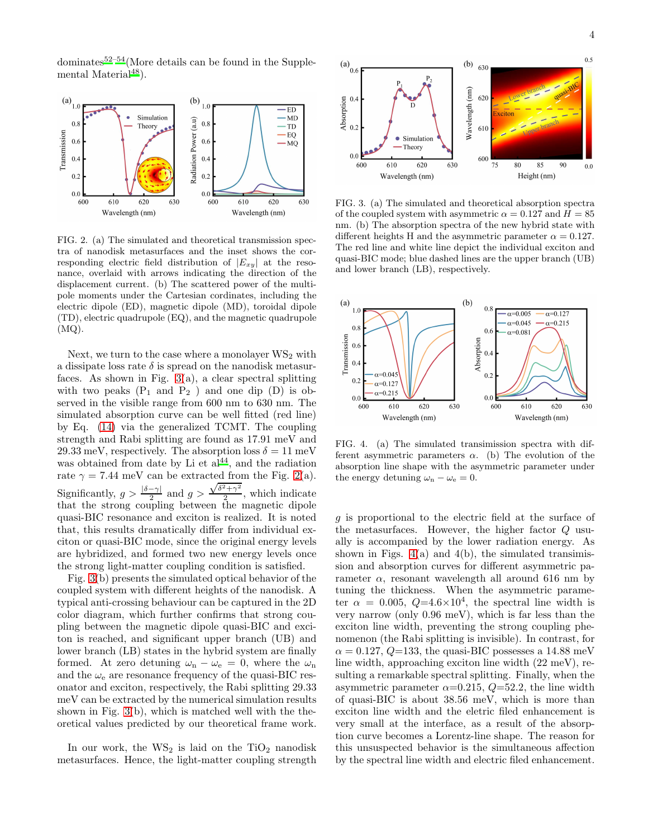dominates $52-54$  $52-54$ (More details can be found in the Supplemental Material $48$ ).



<span id="page-3-0"></span>FIG. 2. (a) The simulated and theoretical transmission spectra of nanodisk metasurfaces and the inset shows the corresponding electric field distribution of  $|E_{xy}|$  at the resonance, overlaid with arrows indicating the direction of the displacement current. (b) The scattered power of the multipole moments under the Cartesian cordinates, including the electric dipole (ED), magnetic dipole (MD), toroidal dipole (TD), electric quadrupole (EQ), and the magnetic quadrupole (MQ).

Next, we turn to the case where a monolayer  $WS_2$  with a dissipate loss rate  $\delta$  is spread on the nanodisk metasurfaces. As shown in Fig.  $3(a)$ , a clear spectral splitting with two peaks  $(P_1 \text{ and } P_2)$  and one dip  $(D)$  is observed in the visible range from 600 nm to 630 nm. The simulated absorption curve can be well fitted (red line) by Eq. [\(14\)](#page-1-1) via the generalized TCMT. The coupling strength and Rabi splitting are found as 17.91 meV and 29.33 meV, respectively. The absorption loss  $\delta = 11$  meV was obtained from date by Li et  $a^{\tilde{1}44}$  $a^{\tilde{1}44}$  $a^{\tilde{1}44}$ , and the radiation rate  $\gamma = 7.44$  meV can be extracted from the Fig. [2\(](#page-3-0)a). Significantly,  $g > \frac{|\delta - \gamma|}{2}$  and  $g >$  $\sqrt{\delta^2 + \gamma^2}$  $\frac{+1}{2}$ , which indicate that the strong coupling between the magnetic dipole quasi-BIC resonance and exciton is realized. It is noted that, this results dramatically differ from individual exciton or quasi-BIC mode, since the original energy levels are hybridized, and formed two new energy levels once the strong light-matter coupling condition is satisfied.

Fig. [3\(](#page-3-1)b) presents the simulated optical behavior of the coupled system with different heights of the nanodisk. A typical anti-crossing behaviour can be captured in the 2D color diagram, which further confirms that strong coupling between the magnetic dipole quasi-BIC and exciton is reached, and significant upper branch (UB) and lower branch (LB) states in the hybrid system are finally formed. At zero detuning  $\omega_n - \omega_e = 0$ , where the  $\omega_n$ and the  $\omega_e$  are resonance frequency of the quasi-BIC resonator and exciton, respectively, the Rabi splitting 29.33 meV can be extracted by the numerical simulation results shown in Fig. [3\(](#page-3-1)b), which is matched well with the theoretical values predicted by our theoretical frame work.

In our work, the  $WS_2$  is laid on the  $TiO_2$  nanodisk metasurfaces. Hence, the light-matter coupling strength



<span id="page-3-1"></span>FIG. 3. (a) The simulated and theoretical absorption spectra of the coupled system with asymmetric  $\alpha = 0.127$  and  $H = 85$ nm. (b) The absorption spectra of the new hybrid state with different heights H and the asymmetric parameter  $\alpha = 0.127$ . The red line and white line depict the individual exciton and quasi-BIC mode; blue dashed lines are the upper branch (UB) and lower branch (LB), respectively.



<span id="page-3-2"></span>FIG. 4. (a) The simulated transimission spectra with different asymmetric parameters  $\alpha$ . (b) The evolution of the absorption line shape with the asymmetric parameter under the energy detuning  $\omega_{\rm n} - \omega_{\rm e} = 0$ .

g is proportional to the electric field at the surface of the metasurfaces. However, the higher factor Q usually is accompanied by the lower radiation energy. As shown in Figs.  $4(a)$  and  $4(b)$ , the simulated transimission and absorption curves for different asymmetric parameter  $\alpha$ , resonant wavelength all around 616 nm by tuning the thickness. When the asymmetric parameter  $\alpha = 0.005, Q=4.6\times10^4$ , the spectral line width is very narrow (only 0.96 meV), which is far less than the exciton line width, preventing the strong coupling phenomenon (the Rabi splitting is invisible). In contrast, for  $\alpha = 0.127, Q=133$ , the quasi-BIC possesses a 14.88 meV line width, approaching exciton line width (22 meV), resulting a remarkable spectral splitting. Finally, when the asymmetric parameter  $\alpha$ =0.215,  $Q$ =52.2, the line width of quasi-BIC is about 38.56 meV, which is more than exciton line width and the eletric filed enhancement is very small at the interface, as a result of the absorption curve becomes a Lorentz-line shape. The reason for this unsuspected behavior is the simultaneous affection by the spectral line width and electric filed enhancement.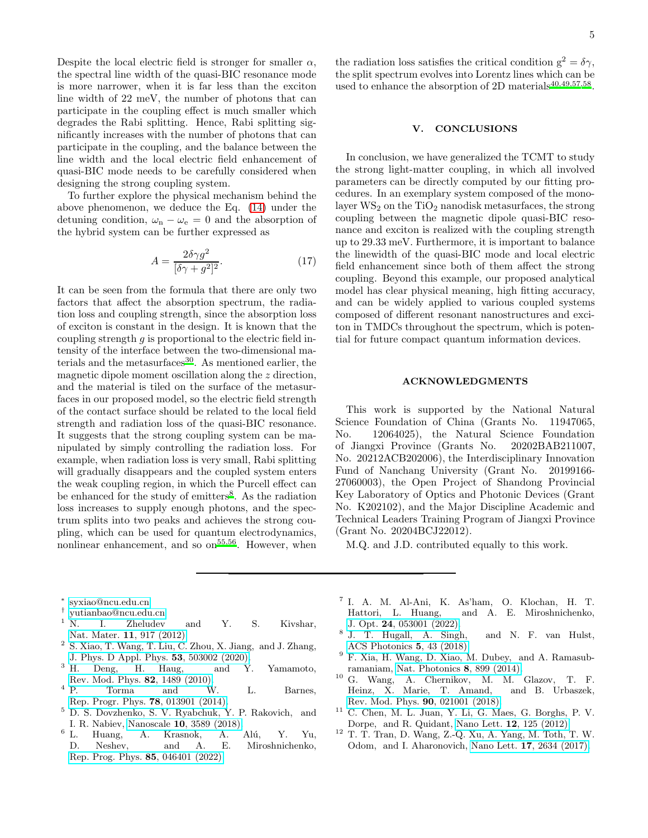Despite the local electric field is stronger for smaller  $\alpha$ , the spectral line width of the quasi-BIC resonance mode is more narrower, when it is far less than the exciton line width of 22 meV, the number of photons that can participate in the coupling effect is much smaller which degrades the Rabi splitting. Hence, Rabi splitting significantly increases with the number of photons that can participate in the coupling, and the balance between the line width and the local electric field enhancement of quasi-BIC mode needs to be carefully considered when designing the strong coupling system.

To further explore the physical mechanism behind the above phenomenon, we deduce the Eq. [\(14\)](#page-1-1) under the detuning condition,  $\omega_{\rm n} - \omega_{\rm e} = 0$  and the absorption of the hybrid system can be further expressed as

$$
A = \frac{2\delta\gamma g^2}{[\delta\gamma + g^2]^2}.
$$
 (17)

It can be seen from the formula that there are only two factors that affect the absorption spectrum, the radiation loss and coupling strength, since the absorption loss of exciton is constant in the design. It is known that the coupling strength  $q$  is proportional to the electric field intensity of the interface between the two-dimensional materials and the metasurfaces $30$ . As mentioned earlier, the magnetic dipole moment oscillation along the z direction, and the material is tiled on the surface of the metasurfaces in our proposed model, so the electric field strength of the contact surface should be related to the local field strength and radiation loss of the quasi-BIC resonance. It suggests that the strong coupling system can be manipulated by simply controlling the radiation loss. For example, when radiation loss is very small, Rabi splitting will gradually disappears and the coupled system enters the weak coupling region, in which the Purcell effect can be enhanced for the study of emitters<sup>[8](#page-4-6)</sup>. As the radiation loss increases to supply enough photons, and the spectrum splits into two peaks and achieves the strong coupling, which can be used for quantum electrodynamics, nonlinear enhancement, and so on<sup>[55](#page-5-25)[,56](#page-5-26)</sup>. However, when

the radiation loss satisfies the critical condition  $g^2 = \delta \gamma$ , the split spectrum evolves into Lorentz lines which can be used to enhance the absorption of 2D materials<sup>[40](#page-5-11)[,49](#page-5-19)[,57](#page-5-27)[,58](#page-5-28)</sup>.

### V. CONCLUSIONS

In conclusion, we have generalized the TCMT to study the strong light-matter coupling, in which all involved parameters can be directly computed by our fitting procedures. In an exemplary system composed of the monolayer  $WS_2$  on the  $TiO_2$  nanodisk metasurfaces, the strong coupling between the magnetic dipole quasi-BIC resonance and exciton is realized with the coupling strength up to 29.33 meV. Furthermore, it is important to balance the linewidth of the quasi-BIC mode and local electric field enhancement since both of them affect the strong coupling. Beyond this example, our proposed analytical model has clear physical meaning, high fitting accuracy, and can be widely applied to various coupled systems composed of different resonant nanostructures and exciton in TMDCs throughout the spectrum, which is potential for future compact quantum information devices.

#### ACKNOWLEDGMENTS

This work is supported by the National Natural Science Foundation of China (Grants No. 11947065, No. 12064025), the Natural Science Foundation of Jiangxi Province (Grants No. 20202BAB211007, No. 20212ACB202006), the Interdisciplinary Innovation Fund of Nanchang University (Grant No. 20199166- 27060003), the Open Project of Shandong Provincial Key Laboratory of Optics and Photonic Devices (Grant No. K202102), and the Major Discipline Academic and Technical Leaders Training Program of Jiangxi Province (Grant No. 20204BCJ22012).

M.Q. and J.D. contributed equally to this work.

- ∗ [syxiao@ncu.edu.cn](mailto:syxiao@ncu.edu.cn)
- <span id="page-4-0"></span>† [yutianbao@ncu.edu.cn](mailto:yutianbao@ncu.edu.cn)
- <span id="page-4-2"></span><span id="page-4-1"></span> $\frac{1}{N}$  N. I. Zheludev and Y. S. Kivshar, Nat. Mater. 11[, 917 \(2012\).](http://dx.doi.org/10.1038/nmat3431)
- <span id="page-4-3"></span>2 S. Xiao, T. Wang, T. Liu, C. Zhou, X. Jiang, and J. Zhang, [J. Phys. D Appl. Phys.](http://dx.doi.org/10.1088/1361-6463/abaced) **53**, 503002 (2020).<br><sup>3</sup> H. Deng, H. Haug, and Y.
- <span id="page-4-4"></span>Deng, H. Haug, and Y. Yamamoto, [Rev. Mod. Phys.](http://dx.doi.org/10.1103/revmodphys.82.1489) **82**, 1489 (2010).<br><sup>4</sup> P. Torma and W
- $4 P.$  Torma and W. L. Barnes, [Rep. Progr. Phys.](http://dx.doi.org/10.1088/0034-4885/78/1/013901) 78, 013901 (2014).
- <sup>5</sup> D. S. Dovzhenko, S. V. Ryabchuk, Y. P. Rakovich, and I. R. Nabiev, Nanoscale **10**[, 3589 \(2018\).](http://dx.doi.org/10.1039/c7nr06917k)<br><sup>6</sup> L. Huang. A. Krasnok, A.
- Huang, A. Krasnok, A. Alú, Y. Yu, D. Neshev, and A. E. Miroshnichenko, [Rep. Prog. Phys.](http://dx.doi.org/ 10.1088/1361-6633/ac45f9) 85, 046401 (2022).
- <span id="page-4-5"></span>7 I. A. M. Al-Ani, K. As'ham, O. Klochan, H. T. Hattori, L. Huang, and A. E. Miroshnichenko, J. Opt. 24[, 053001 \(2022\).](http://dx.doi.org/ 10.1088/2040-8986/ac5cd7)
- <span id="page-4-6"></span>8 J. T. Hugall, A. Singh, and N. F. van Hulst, [ACS Photonics](http://dx.doi.org/10.1021/acsphotonics.7b01139) 5, 43 (2018).
- <span id="page-4-7"></span> $9$  F. Xia, H. Wang, D. Xiao, M. Dubey, and A. Ramasubramaniam, [Nat. Photonics](http://dx.doi.org/ 10.1038/nphoton.2014.271) 8, 899 (2014).
- <span id="page-4-8"></span><sup>10</sup> G. Wang, A. Chernikov, M. M. Glazov, T. F. Heinz, X. Marie, T. Amand, and B. Urbaszek, [Rev. Mod. Phys.](http://dx.doi.org/ 10.1103/revmodphys.90.021001) 90, 021001 (2018).
- <span id="page-4-9"></span><sup>11</sup> C. Chen, M. L. Juan, Y. Li, G. Maes, G. Borghs, P. V. Dorpe, and R. Quidant, Nano Lett. 12[, 125 \(2012\).](http://dx.doi.org/10.1021/nl2031458)
- <span id="page-4-10"></span><sup>12</sup> T. T. Tran, D. Wang, Z.-Q. Xu, A. Yang, M. Toth, T. W. Odom, and I. Aharonovich, Nano Lett. 17[, 2634 \(2017\).](http://dx.doi.org/ 10.1021/acs.nanolett.7b00444)